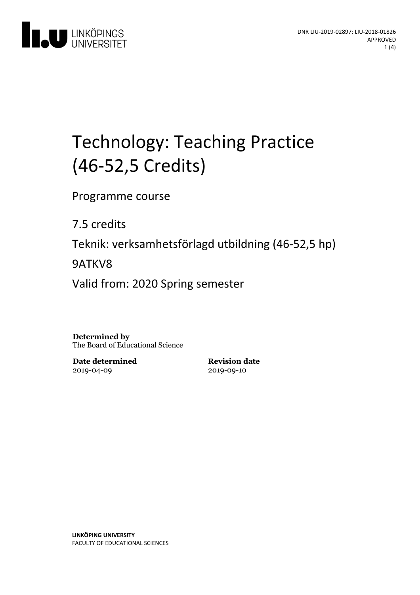

# Technology: Teaching Practice (46-52,5 Credits)

Programme course

7.5 credits

Teknik: verksamhetsförlagd utbildning(46-52,5 hp)

9ATKV8

Valid from: 2020 Spring semester

**Determined by** The Board of Educational Science

**Date determined** 2019-04-09

**Revision date** 2019-09-10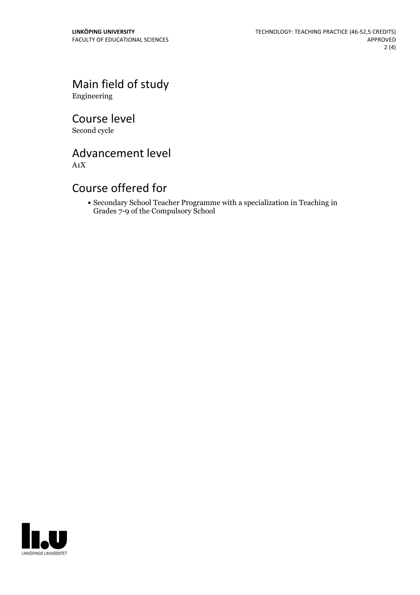Main field of study Engineering

Course level Second cycle

Advancement level

A1X

# Course offered for

Secondary School Teacher Programme with a specialization in Teaching in Grades 7-9 of the Compulsory School

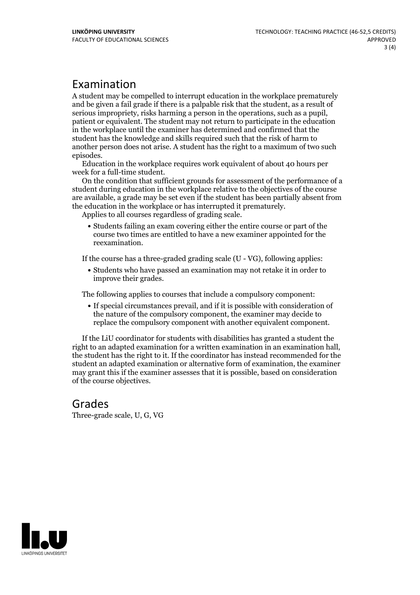# Examination

A student may be compelled to interrupt education in the workplace prematurely and be given a failgrade if there is a palpable risk that the student, as a result of serious impropriety, risks harming <sup>a</sup> person in the operations, such as <sup>a</sup> pupil, patient or equivalent. The student may not return to participate in the education in the workplace until the examiner has determined and confirmed that the student has the knowledge and skills required such that the risk of harm to another person does not arise. A student has the right to a maximum of two such episodes. Education in the workplace requires work equivalent of about <sup>40</sup> hours per

week for <sup>a</sup> full-time student. On the condition that sufficient grounds for assessment of the performance of <sup>a</sup>

student during education in the workplace relative to the objectives of the course are available, a grade may be set even if the student has been partially absent from the education in the workplace or has interrupted it prematurely. Applies to all courses regardless of grading scale.

Students failing an exam covering either the entire course or part of the course two times are entitled to have a new examiner appointed for the reexamination.

If the course has a three-graded grading scale (U - VG), following applies:

Students who have passed an examination may not retake it in order to improve their grades.

The following applies to courses that include a compulsory component:

If special circumstances prevail, and if it is possible with consideration of the nature of the compulsory component, the examiner may decide to replace the compulsory component with another equivalent component.

If the LiU coordinator for students with disabilities has granted a student the right to an adapted examination for <sup>a</sup> written examination in an examination hall, the student has the right to it. If the coordinator has instead recommended for the student an adapted examination or alternative form of examination, the examiner may grant this if the examiner assesses that it is possible, based on consideration of the course objectives.

# Grades

Three-grade scale, U, G, VG